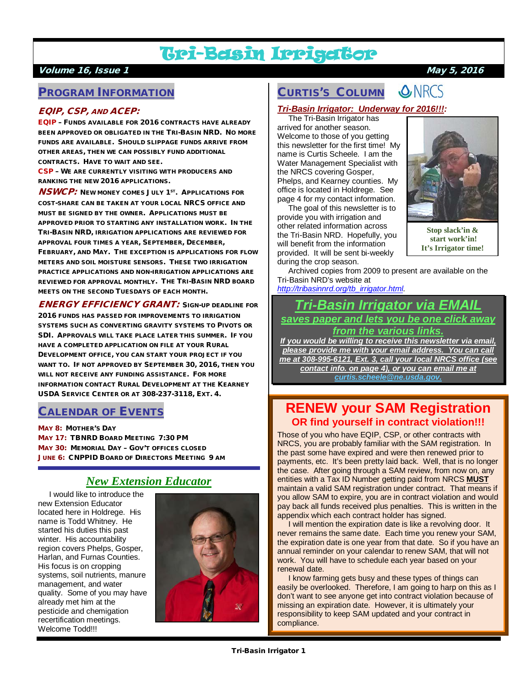# Tri-Basin Irrigator

### Volume 16, Issue 1 May 5, 2016

## PROGRAM INFORMATION

### EQIP, CSP, AND ACEP:

EQIP – FUNDS AVAILABLE FOR 2016 CONTRACTS HAVE ALREADY BEEN APPROVED OR OBLIGATED IN THE TRI-BASIN NRD. NO MORE FUNDS ARE AVAILABLE. SHOULD SLIPPAGE FUNDS ARRIVE FROM OTHER AREAS, THEN WE CAN POSSIBLY FUND ADDITIONAL CONTRACTS. HAVE TO WAIT AND SEE.

CSP – WE ARE CURRENTLY VISITING WITH PRODUCERS AND RANKING THE NEW 2016 APPLICATIONS.

**NSWCP:** NEW MONEY COMES JULY 1<sup>ST</sup>. APPLICATIONS FOR COST-SHARE CAN BE TAKEN AT YOUR LOCAL NRCS OFFICE AND MUST BE SIGNED BY THE OWNER. APPLICATIONS MUST BE APPROVED PRIOR TO STARTING ANY INSTALLATION WORK. IN THE TRI-BASIN NRD, IRRIGATION APPLICATIONS ARE REVIEWED FOR APPROVAL FOUR TIMES A YEAR, SEPTEMBER, DECEMBER, FEBRUARY, AND MAY. THE EXCEPTION IS APPLICATIONS FOR FLOW METERS AND SOIL MOISTURE SENSORS. THESE TWO IRRIGATION PRACTICE APPLICATIONS AND NON-IRRIGATION APPLICATIONS ARE REVIEWED FOR APPROVAL MONTHLY. THE TRI-BASIN NRD BOARD MEETS ON THE SECOND TUESDAYS OF EACH MONTH.

ENERGY EFFICIENCY GRANT: SIGN-UP DEADLINE FOR 2016 FUNDS HAS PASSED FOR IMPROVEMENTS TO IRRIGATION SYSTEMS SUCH AS CONVERTING GRAVITY SYSTEMS TO PIVOTS OR SDI. APPROVALS WILL TAKE PLACE LATER THIS SUMMER. IF YOU HAVE A COMPLETED APPLICATION ON FILE AT YOUR RURAL DEVELOPMENT OFFICE, YOU CAN START YOUR PROJECT IF YOU WANT TO. IF NOT APPROVED BY SEPTEMBER 30, 2016, THEN YOU WILL NOT RECEIVE ANY FUNDING ASSISTANCE. FOR MORE INFORMATION CONTACT RURAL DEVELOPMENT AT THE KEARNEY USDA SERVICE CENTER OR AT 308-237-3118, EXT. 4.

# CALENDAR OF EVENTS

MAY 8: MOTHER'S DAY MAY 17: TBNRD BOARD MEETING 7:30 PM MAY 30: MEMORIAL DAY - GOV'T OFFICES CLOSED JUNE 6: CNPPID BOARD OF DIRECTORS MEETING 9 AM

# *New Extension Educator*

 I would like to introduce the new Extension Educator located here in Holdrege. His name is Todd Whitney. He started his duties this past winter. His accountability region covers Phelps, Gosper, Harlan, and Furnas Counties. His focus is on cropping systems, soil nutrients, manure management, and water quality. Some of you may have already met him at the pesticide and chemigation recertification meetings. Welcome Todd!!!



#### **ONRCS** CURTIS'S COLUMN

### *Tri-Basin Irrigator: Underway for 2016!!!:*

 The Tri-Basin Irrigator has arrived for another season. Welcome to those of you getting this newsletter for the first time! My name is Curtis Scheele. I am the Water Management Specialist with the NRCS covering Gosper, Phelps, and Kearney counties. My office is located in Holdrege. See page 4 for my contact information.

 The goal of this newsletter is to provide you with irrigation and other related information across the Tri-Basin NRD. Hopefully, you will benefit from the information provided. It will be sent bi-weekly during the crop season.



**Stop slack'in & start work'in! It's Irrigator time!**

 Archived copies from 2009 to present are available on the Tri-Basin NRD's website at *[http://tribasinnrd.org/tb\\_irrigator.html](http://tribasinnrd.org/tb_irrigator.html)*.

# *Tri-Basin Irrigator via EMAIL saves paper and lets you be one click away from the various links.*

*If you would be willing to receive this newsletter via email, please provide me with your email address. You can call me at 308-995-6121, Ext. 3, call your local NRCS office (see contact info. on page 4), or you can email me at [curtis.scheele@ne.usda.gov.](mailto:curtis.scheele@ne.usda.gov)* 

# **RENEW your SAM Registration OR find yourself in contract violation!!!**

Those of you who have EQIP, CSP, or other contracts with NRCS, you are probably familiar with the SAM registration. In the past some have expired and were then renewed prior to payments, etc. It's been pretty laid back. Well, that is no longer the case. After going through a SAM review, from now on, any entities with a Tax ID Number getting paid from NRCS **MUST** maintain a valid SAM registration under contract. That means if you allow SAM to expire, you are in contract violation and would pay back all funds received plus penalties. This is written in the appendix which each contract holder has signed.

 I will mention the expiration date is like a revolving door. It never remains the same date. Each time you renew your SAM, the expiration date is one year from that date. So if you have an annual reminder on your calendar to renew SAM, that will not work. You will have to schedule each year based on your renewal date.

 I know farming gets busy and these types of things can easily be overlooked. Therefore, I am going to harp on this as I don't want to see anyone get into contract violation because of missing an expiration date. However, it is ultimately your responsibility to keep SAM updated and your contract in compliance.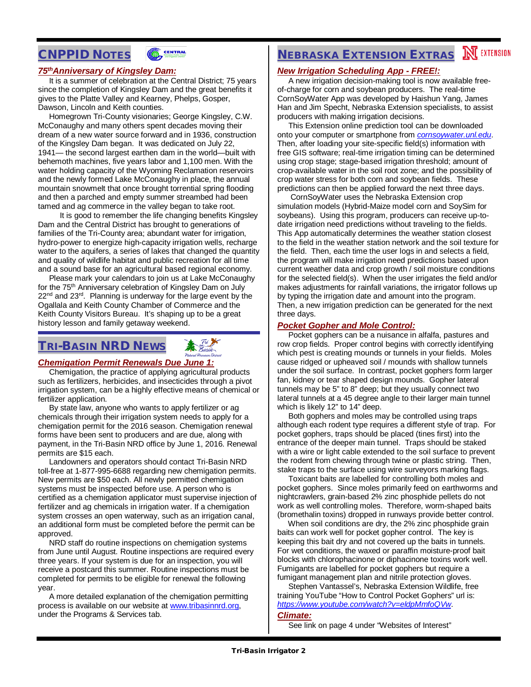# CNPPID NOTES



### *75thAnniversary of Kingsley Dam:*

 It is a summer of celebration at the Central District; 75 years since the completion of Kingsley Dam and the great benefits it gives to the Platte Valley and Kearney, Phelps, Gosper, Dawson, Lincoln and Keith counties.

 Homegrown Tri-County visionaries; George Kingsley, C.W. McConaughy and many others spent decades moving their dream of a new water source forward and in 1936, construction of the Kingsley Dam began. It was dedicated on July 22, 1941— the second largest earthen dam in the world—built with behemoth machines, five years labor and 1,100 men. With the water holding capacity of the Wyoming Reclamation reservoirs and the newly formed Lake McConaughy in place, the annual mountain snowmelt that once brought torrential spring flooding and then a parched and empty summer streambed had been tamed and ag commerce in the valley began to take root.

 It is good to remember the life changing benefits Kingsley Dam and the Central District has brought to generations of families of the Tri-County area; abundant water for irrigation, hydro-power to energize high-capacity irrigation wells, recharge water to the aquifers, a series of lakes that changed the quantity and quality of wildlife habitat and public recreation for all time and a sound base for an agricultural based regional economy.

 Please mark your calendars to join us at Lake McConaughy for the 75<sup>th</sup> Anniversary celebration of Kingsley Dam on July 22<sup>nd</sup> and 23<sup>rd</sup>. Planning is underway for the large event by the Ogallala and Keith County Chamber of Commerce and the Keith County Visitors Bureau. It's shaping up to be a great history lesson and family getaway weekend.

## TRI-BASIN NRD NEWS



 Chemigation, the practice of applying agricultural products such as fertilizers, herbicides, and insecticides through a pivot irrigation system, can be a highly effective means of chemical or fertilizer application.

Basin

 By state law, anyone who wants to apply fertilizer or ag chemicals through their irrigation system needs to apply for a chemigation permit for the 2016 season. Chemigation renewal forms have been sent to producers and are due, along with payment, in the Tri-Basin NRD office by June 1, 2016. Renewal permits are \$15 each.

 Landowners and operators should contact Tri-Basin NRD toll-free at 1-877-995-6688 regarding new chemigation permits. New permits are \$50 each. All newly permitted chemigation systems must be inspected before use. A person who is certified as a chemigation applicator must supervise injection of fertilizer and ag chemicals in irrigation water. If a chemigation system crosses an open waterway, such as an irrigation canal, an additional form must be completed before the permit can be approved.

 NRD staff do routine inspections on chemigation systems from June until August. Routine inspections are required every three years. If your system is due for an inspection, you will receive a postcard this summer. Routine inspections must be completed for permits to be eligible for renewal the following year.

 A more detailed explanation of the chemigation permitting process is available on our website at [www.tribasinnrd.org,](http://www.tribasinnrd.org/) under the Programs & Services tab.

# **NEBRASKA EXTENSION EXTRAS NEXTENSION**

### *New Irrigation Scheduling App - FREE!:*

 A new irrigation decision-making tool is now available freeof-charge for corn and soybean producers. The real-time CornSoyWater App was developed by Haishun Yang, James Han and Jim Specht, Nebraska Extension specialists, to assist producers with making irrigation decisions.

 This Extension online prediction tool can be downloaded onto your computer or smartphone from *[cornsoywater.unl.edu](http://hprcc-agron0.unl.edu/cornsoywater/public_html/Home.php)*. Then, after loading your site-specific field(s) information with free GIS software; real-time irrigation timing can be determined using crop stage; stage-based irrigation threshold; amount of crop-available water in the soil root zone; and the possibility of crop water stress for both corn and soybean fields. These predictions can then be applied forward the next three days.

 CornSoyWater uses the Nebraska Extension crop simulation models (Hybrid-Maize model corn and SoySim for soybeans). Using this program, producers can receive up-todate irrigation need predictions without traveling to the fields. This App automatically determines the weather station closest to the field in the weather station network and the soil texture for the field. Then, each time the user logs in and selects a field, the program will make irrigation need predictions based upon current weather data and crop growth / soil moisture conditions for the selected field(s). When the user irrigates the field and/or makes adjustments for rainfall variations, the irrigator follows up by typing the irrigation date and amount into the program. Then, a new irrigation prediction can be generated for the next three days.

#### *Pocket Gopher and Mole Control:*

 Pocket gophers can be a nuisance in alfalfa, pastures and row crop fields. Proper control begins with correctly identifying which pest is creating mounds or tunnels in your fields. Moles cause ridged or upheaved soil / mounds with shallow tunnels under the soil surface. In contrast, pocket gophers form larger fan, kidney or tear shaped design mounds. Gopher lateral tunnels may be 5" to 8" deep; but they usually connect two lateral tunnels at a 45 degree angle to their larger main tunnel which is likely 12" to 14" deep.

 Both gophers and moles may be controlled using traps although each rodent type requires a different style of trap. For pocket gophers, traps should be placed (tines first) into the entrance of the deeper main tunnel. Traps should be staked with a wire or light cable extended to the soil surface to prevent the rodent from chewing through twine or plastic string. Then, stake traps to the surface using wire surveyors marking flags.

 Toxicant baits are labelled for controlling both moles and pocket gophers. Since moles primarily feed on earthworms and nightcrawlers, grain-based 2% zinc phosphide pellets do not work as well controlling moles. Therefore, worm-shaped baits (bromethalin toxins) dropped in runways provide better control.

 When soil conditions are dry, the 2% zinc phosphide grain baits can work well for pocket gopher control. The key is keeping this bait dry and not covered up the baits in tunnels. For wet conditions, the waxed or paraffin moisture-proof bait blocks with chlorophacinone or diphacinone toxins work well. Fumigants are labelled for pocket gophers but require a fumigant management plan and nitrile protection gloves.

 Stephen Vantassel's, Nebraska Extension Wildlife, free training YouTube "How to Control Pocket Gophers" url is: *<https://www.youtube.com/watch?v=eldpMmfoQVw>*.

#### *Climate:*

See link on page 4 under "Websites of Interest"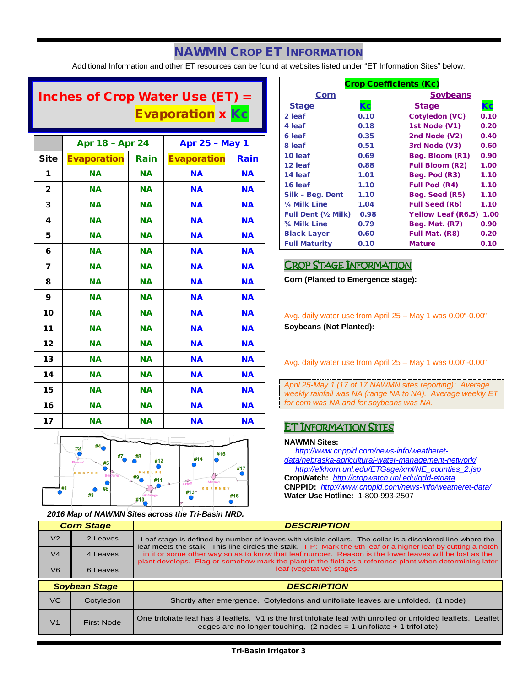# NAWMN CROP ET INFORMATION

Additional Information and other ET resources can be found at websites listed under "ET Information Sites" below.

# Inches of Crop Water Use (ET) = Evaporation x Kc

|              | Apr 18 - Apr 24    |           | <b>Apr 25 - May 1</b> |           |
|--------------|--------------------|-----------|-----------------------|-----------|
| <b>Site</b>  | <b>Evaporation</b> | Rain      | <b>Evaporation</b>    | Rain      |
| 1            | <b>NA</b>          | <b>NA</b> | <b>NA</b>             | <b>NA</b> |
| $\mathbf{2}$ | <b>NA</b>          | <b>NA</b> | <b>NA</b>             | <b>NA</b> |
| 3            | <b>NA</b>          | <b>NA</b> | <b>NA</b>             | <b>NA</b> |
| 4            | <b>NA</b>          | <b>NA</b> | <b>NA</b>             | <b>NA</b> |
| 5            | <b>NA</b>          | <b>NA</b> | <b>NA</b>             | <b>NA</b> |
| 6            | <b>NA</b>          | <b>NA</b> | <b>NA</b>             | <b>NA</b> |
| 7            | <b>NA</b>          | <b>NA</b> | <b>NA</b>             | <b>NA</b> |
| 8            | <b>NA</b>          | <b>NA</b> | <b>NA</b>             | <b>NA</b> |
| 9            | <b>NA</b>          | <b>NA</b> | <b>NA</b>             | <b>NA</b> |
| 10           | <b>NA</b>          | <b>NA</b> | <b>NA</b>             | <b>NA</b> |
| 11           | <b>NA</b>          | ΝA        | <b>NA</b>             | <b>NA</b> |
| 12           | <b>NA</b>          | ΝA        | <b>NA</b>             | <b>NA</b> |
| 13           | <b>NA</b>          | ΝA        | <b>NA</b>             | <b>NA</b> |
| 14           | <b>NA</b>          | ΝA        | <b>NA</b>             | <b>NA</b> |
| 15           | <b>NA</b>          | ΝA        | <b>NA</b>             | <b>NA</b> |
| 16           | <b>NA</b>          | <b>NA</b> | <b>NA</b>             | <b>NA</b> |
| 17           | <b>NA</b>          | <b>NA</b> | <b>NA</b>             | <b>NA</b> |



*2016 Map of NAWMN Sites across the Tri-Basin NRD.*

| <b>Crop Coefficients (Kc)</b> |      |                           |      |  |
|-------------------------------|------|---------------------------|------|--|
| Corn                          |      | <b>Soybeans</b>           |      |  |
| <b>Stage</b>                  | Кc   | <b>Stage</b>              | Кc   |  |
| 2 leaf                        | 0.10 | <b>Cotyledon (VC)</b>     | 0.10 |  |
| 4 leaf                        | 0.18 | 1st Node (V1)             | 0.20 |  |
| 6 leaf                        | 0.35 | 2nd Node (V2)             | 0.40 |  |
| 8 leaf                        | 0.51 | 3rd Node (V3)             | 0.60 |  |
| 10 leaf                       | 0.69 | Beg. Bloom (R1)           | 0.90 |  |
| 12 leaf                       | 0.88 | <b>Full Bloom (R2)</b>    | 1.00 |  |
| 14 leaf                       | 1.01 | Beg. Pod (R3)             | 1.10 |  |
| 16 leaf                       | 1.10 | <b>Full Pod (R4)</b>      | 1.10 |  |
| Silk - Beg. Dent              | 1.10 | Beg. Seed (R5)            | 1.10 |  |
| 1/4 Milk Line                 | 1.04 | <b>Full Seed (R6)</b>     | 1.10 |  |
| <b>Full Dent (1/2 Milk)</b>   | 0.98 | <b>Yellow Leaf (R6.5)</b> | 1.00 |  |
| 3/4 Milk Line                 | 0.79 | Beg. Mat. (R7)            | 0.90 |  |
| <b>Black Layer</b>            | 0.60 | Full Mat. (R8)            | 0.20 |  |
| <b>Full Maturity</b>          | 0.10 | <b>Mature</b>             | 0.10 |  |

### CROP STAGE INFORMATION

**Corn (Planted to Emergence stage):**

Avg. daily water use from April 25 – May 1 was 0.00"-0.00". **Soybeans (Not Planted):**

Avg. daily water use from April 25 – May 1 was 0.00"-0.00".

*April 25-May 1 (17 of 17 NAWMN sites reporting): Average weekly rainfall was NA (range NA to NA). Average weekly ET for corn was NA and for soybeans was NA.*

### ET INFORMATION SITES

#### **NAWMN Sites:**

 *[http://www.cnppid.com/news-info/weatheret](http://www.cnppid.com/news-info/weatheret-data/nebraska-agricultural-water-management-network/)[data/nebraska-agricultural-water-management-network/](http://www.cnppid.com/news-info/weatheret-data/nebraska-agricultural-water-management-network/) [http://elkhorn.unl.edu/ETGage/xml/NE\\_counties\\_2.jsp](http://elkhorn.unl.edu/ETGage/xml/NE_counties_2.jsp)* **CropWatch:** *<http://cropwatch.unl.edu/gdd-etdata>*

**CNPPID:** *<http://www.cnppid.com/news-info/weatheret-data/>* **Water Use Hotline:** 1-800-993-2507

| <b>Corn Stage</b> |                      | <b>DESCRIPTION</b>                                                                                                                                                                                                         |  |  |
|-------------------|----------------------|----------------------------------------------------------------------------------------------------------------------------------------------------------------------------------------------------------------------------|--|--|
| V <sub>2</sub>    | 2 Leaves             | Leaf stage is defined by number of leaves with visible collars. The collar is a discolored line where the<br>leaf meets the stalk. This line circles the stalk. TIP: Mark the 6th leaf or a higher leaf by cutting a notch |  |  |
| V <sub>4</sub>    | 4 Leaves             | in it or some other way so as to know that leaf number. Reason is the lower leaves will be lost as the<br>plant develops. Flag or somehow mark the plant in the field as a reference plant when determining later          |  |  |
| V <sub>6</sub>    | 6 Leaves             | leaf (vegetative) stages.                                                                                                                                                                                                  |  |  |
|                   |                      |                                                                                                                                                                                                                            |  |  |
|                   | <b>Soybean Stage</b> | <b>DESCRIPTION</b>                                                                                                                                                                                                         |  |  |
| VC.               | Cotyledon            | Shortly after emergence. Cotyledons and unifoliate leaves are unfolded. (1 node)                                                                                                                                           |  |  |